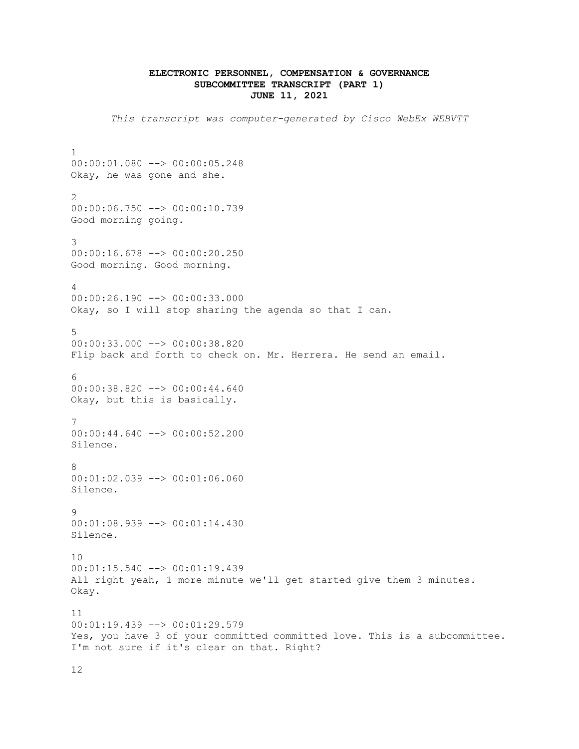## **ELECTRONIC PERSONNEL, COMPENSATION & GOVERNANCE SUBCOMMITTEE TRANSCRIPT (PART 1) JUNE 11, 2021**

*This transcript was computer-generated by Cisco WebEx WEBVTT*

1 00:00:01.080 --> 00:00:05.248 Okay, he was gone and she. 2 00:00:06.750 --> 00:00:10.739 Good morning going. 3 00:00:16.678 --> 00:00:20.250 Good morning. Good morning. 4 00:00:26.190 --> 00:00:33.000 Okay, so I will stop sharing the agenda so that I can. 5 00:00:33.000 --> 00:00:38.820 Flip back and forth to check on. Mr. Herrera. He send an email. 6 00:00:38.820 --> 00:00:44.640 Okay, but this is basically. 7 00:00:44.640 --> 00:00:52.200 Silence. 8 00:01:02.039 --> 00:01:06.060 Silence. 9 00:01:08.939 --> 00:01:14.430 Silence. 10  $00:01:15.540$  -->  $00:01:19.439$ All right yeah, 1 more minute we'll get started give them 3 minutes. Okay. 11 00:01:19.439 --> 00:01:29.579 Yes, you have 3 of your committed committed love. This is a subcommittee. I'm not sure if it's clear on that. Right?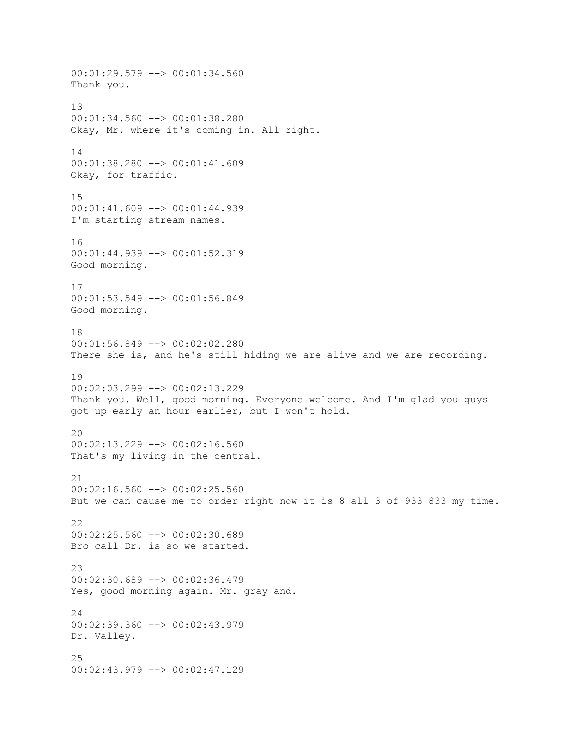00:01:29.579 --> 00:01:34.560 Thank you. 13 00:01:34.560 --> 00:01:38.280 Okay, Mr. where it's coming in. All right. 14 00:01:38.280 --> 00:01:41.609 Okay, for traffic. 15 00:01:41.609 --> 00:01:44.939 I'm starting stream names. 16 00:01:44.939 --> 00:01:52.319 Good morning. 17 00:01:53.549 --> 00:01:56.849 Good morning. 18 00:01:56.849 --> 00:02:02.280 There she is, and he's still hiding we are alive and we are recording. 19 00:02:03.299 --> 00:02:13.229 Thank you. Well, good morning. Everyone welcome. And I'm glad you guys got up early an hour earlier, but I won't hold. 20  $00:02:13.229$  -->  $00:02:16.560$ That's my living in the central. 21 00:02:16.560 --> 00:02:25.560 But we can cause me to order right now it is 8 all 3 of 933 833 my time.  $22$ 00:02:25.560 --> 00:02:30.689 Bro call Dr. is so we started. 23 00:02:30.689 --> 00:02:36.479 Yes, good morning again. Mr. gray and.  $24$ 00:02:39.360 --> 00:02:43.979 Dr. Valley. 25 00:02:43.979 --> 00:02:47.129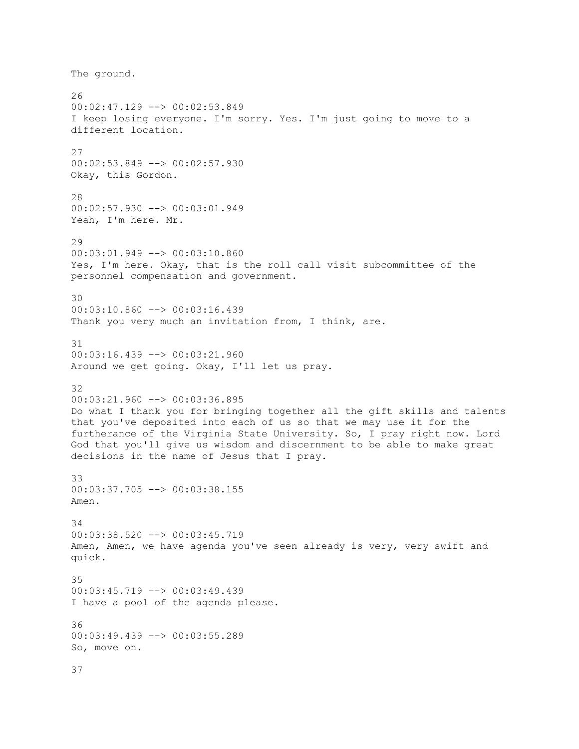The ground. 26 00:02:47.129 --> 00:02:53.849 I keep losing everyone. I'm sorry. Yes. I'm just going to move to a different location. 27 00:02:53.849 --> 00:02:57.930 Okay, this Gordon. 28 00:02:57.930 --> 00:03:01.949 Yeah, I'm here. Mr. 29 00:03:01.949 --> 00:03:10.860 Yes, I'm here. Okay, that is the roll call visit subcommittee of the personnel compensation and government. 30 00:03:10.860 --> 00:03:16.439 Thank you very much an invitation from, I think, are. 31 00:03:16.439 --> 00:03:21.960 Around we get going. Okay, I'll let us pray. 32 00:03:21.960 --> 00:03:36.895 Do what I thank you for bringing together all the gift skills and talents that you've deposited into each of us so that we may use it for the furtherance of the Virginia State University. So, I pray right now. Lord God that you'll give us wisdom and discernment to be able to make great decisions in the name of Jesus that I pray. 33 00:03:37.705 --> 00:03:38.155 Amen. 34 00:03:38.520 --> 00:03:45.719 Amen, Amen, we have agenda you've seen already is very, very swift and quick. 35 00:03:45.719 --> 00:03:49.439 I have a pool of the agenda please. 36 00:03:49.439 --> 00:03:55.289 So, move on. 37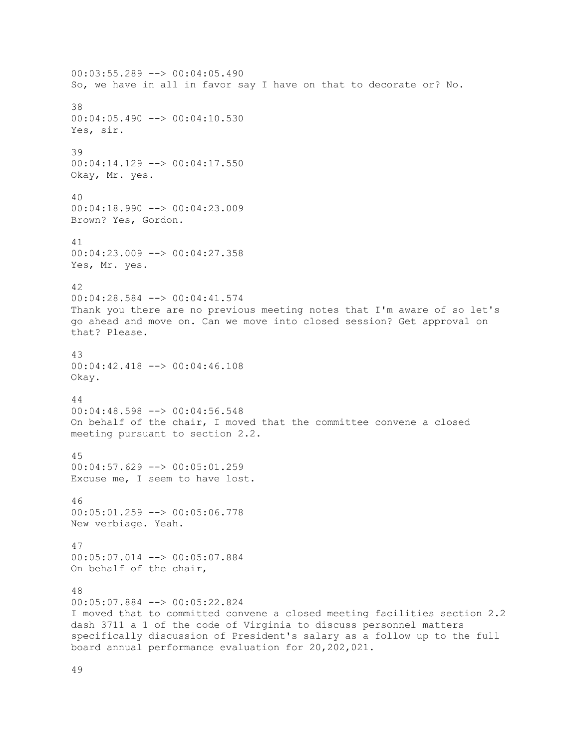00:03:55.289 --> 00:04:05.490 So, we have in all in favor say I have on that to decorate or? No. 38 00:04:05.490 --> 00:04:10.530 Yes, sir. 39 00:04:14.129 --> 00:04:17.550 Okay, Mr. yes. 40 00:04:18.990 --> 00:04:23.009 Brown? Yes, Gordon. 41 00:04:23.009 --> 00:04:27.358 Yes, Mr. yes. 42 00:04:28.584 --> 00:04:41.574 Thank you there are no previous meeting notes that I'm aware of so let's go ahead and move on. Can we move into closed session? Get approval on that? Please. 43 00:04:42.418 --> 00:04:46.108 Okay. 44 00:04:48.598 --> 00:04:56.548 On behalf of the chair, I moved that the committee convene a closed meeting pursuant to section 2.2. 45 00:04:57.629 --> 00:05:01.259 Excuse me, I seem to have lost. 46 00:05:01.259 --> 00:05:06.778 New verbiage. Yeah. 47 00:05:07.014 --> 00:05:07.884 On behalf of the chair, 48 00:05:07.884 --> 00:05:22.824 I moved that to committed convene a closed meeting facilities section 2.2 dash 3711 a 1 of the code of Virginia to discuss personnel matters specifically discussion of President's salary as a follow up to the full board annual performance evaluation for 20,202,021.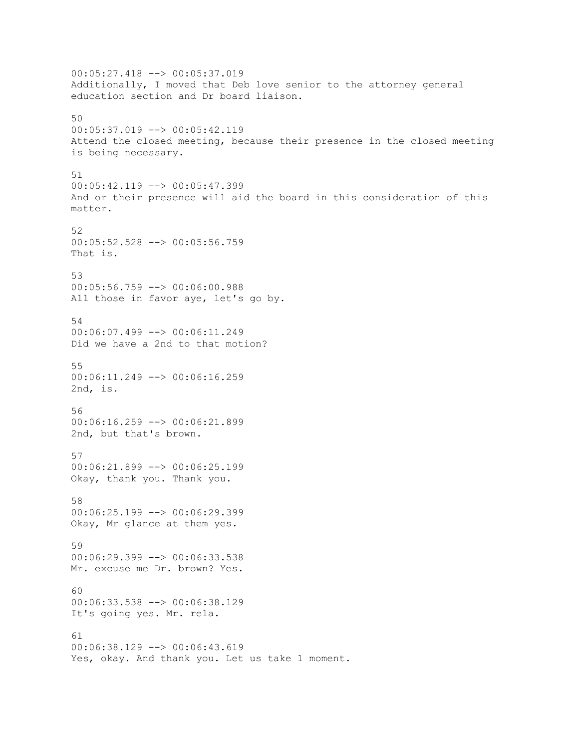00:05:27.418 --> 00:05:37.019 Additionally, I moved that Deb love senior to the attorney general education section and Dr board liaison. 50 00:05:37.019 --> 00:05:42.119 Attend the closed meeting, because their presence in the closed meeting is being necessary. 51 00:05:42.119 --> 00:05:47.399 And or their presence will aid the board in this consideration of this matter. 52 00:05:52.528 --> 00:05:56.759 That is. 53 00:05:56.759 --> 00:06:00.988 All those in favor aye, let's go by. 54 00:06:07.499 --> 00:06:11.249 Did we have a 2nd to that motion? 55 00:06:11.249 --> 00:06:16.259 2nd, is. 56 00:06:16.259 --> 00:06:21.899 2nd, but that's brown. 57 00:06:21.899 --> 00:06:25.199 Okay, thank you. Thank you. 58 00:06:25.199 --> 00:06:29.399 Okay, Mr glance at them yes. 59 00:06:29.399 --> 00:06:33.538 Mr. excuse me Dr. brown? Yes. 60 00:06:33.538 --> 00:06:38.129 It's going yes. Mr. rela. 61  $00:06:38.129$  -->  $00:06:43.619$ Yes, okay. And thank you. Let us take 1 moment.